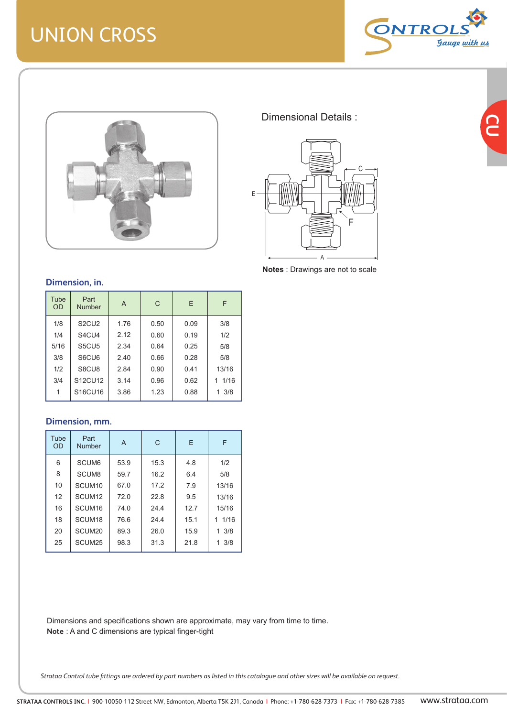# UNION CROSS



<u>ြ</u>



Dimensional Details :



**Notes** : Drawings are not to scale

#### **Dimension, in.**

| Tube<br><b>OD</b> | Part<br><b>Number</b>          | A    | C    | E.   | F      |
|-------------------|--------------------------------|------|------|------|--------|
| 1/8               | S <sub>2</sub> CU <sub>2</sub> | 1.76 | 0.50 | 0.09 | 3/8    |
| 1/4               | S4CU4                          | 2.12 | 0.60 | 0.19 | 1/2    |
| 5/16              | S5CU5                          | 2.34 | 0.64 | 0.25 | 5/8    |
| 3/8               | S6CU6                          | 2.40 | 0.66 | 0.28 | 5/8    |
| 1/2               | S8CU8                          | 2.84 | 0.90 | 0.41 | 13/16  |
| 3/4               | S12CU12                        | 3.14 | 0.96 | 0.62 | 1 1/16 |
| 1                 | S16CU16                        | 3.86 | 1.23 | 0.88 | 13/8   |

#### **Dimension, mm.**

| Tube<br><b>OD</b> | Part<br>Number     | A    | C    | E    | F               |
|-------------------|--------------------|------|------|------|-----------------|
| 6                 | SCUM <sub>6</sub>  | 53.9 | 15.3 | 4.8  | 1/2             |
| 8                 | SCUM <sub>8</sub>  | 59.7 | 16.2 | 6.4  | 5/8             |
| 10                | SCUM <sub>10</sub> | 67.0 | 17.2 | 7.9  | 13/16           |
| 12                | SCUM <sub>12</sub> | 72.0 | 22.8 | 9.5  | 13/16           |
| 16                | SCUM <sub>16</sub> | 74.0 | 24.4 | 12.7 | 15/16           |
| 18                | SCUM <sub>18</sub> | 76.6 | 24.4 | 15.1 | 1/16<br>1       |
| 20                | SCUM <sub>20</sub> | 89.3 | 26.0 | 15.9 | $1 \frac{3}{8}$ |
| 25                | SCUM <sub>25</sub> | 98.3 | 31.3 | 21.8 | $1 \frac{3}{8}$ |

Dimensions and specifications shown are approximate, may vary from time to time. **Note** : A and C dimensions are typical finger-tight

*Strataa Control tube fittings are ordered by part numbers as listed in this catalogue and other sizes will be available on request.*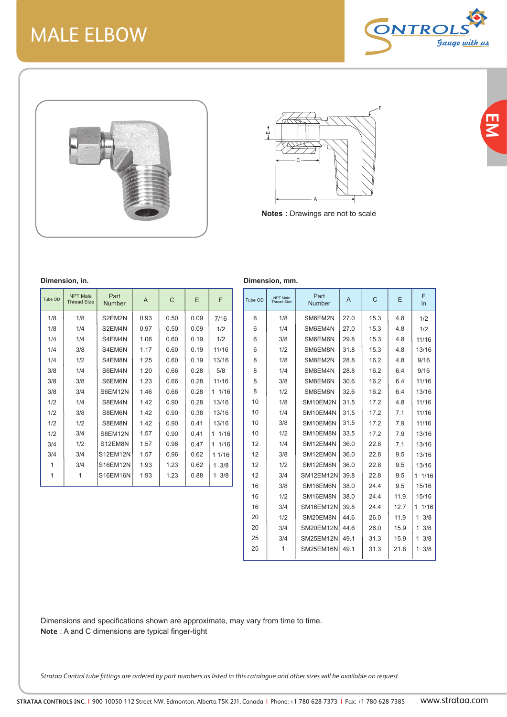## MALE ELBOW



**EM**





**Notes :** Drawings are not to scale

| Tube OD | <b>NPT Male</b><br><b>Thread Size</b> | Part<br><b>Number</b> | A    | C    | E    | F         |
|---------|---------------------------------------|-----------------------|------|------|------|-----------|
| 1/8     | 1/8                                   | S2EM2N                | 0.93 | 0.50 | 0.09 | 7/16      |
| 1/8     | 1/4                                   | S2EM4N                | 0.97 | 0.50 | 0.09 | 1/2       |
| 1/4     | 1/4                                   | S4EM4N                | 1.06 | 0.60 | 0.19 | 1/2       |
| 1/4     | 3/8                                   | S4EM6N                | 1.17 | 0.60 | 0.19 | 11/16     |
| 1/4     | 1/2                                   | S4EM8N                | 1.25 | 0.60 | 0.19 | 13/16     |
| 3/8     | 1/4                                   | S6EM4N                | 1.20 | 0.66 | 0.28 | 5/8       |
| 3/8     | 3/8                                   | S6EM6N                | 1.23 | 0.66 | 0.28 | 11/16     |
| 3/8     | 3/4                                   | S6EM12N               | 1.46 | 0.66 | 0.28 | 1 1/16    |
| 1/2     | 1/4                                   | S8EM4N                | 1.42 | 0.90 | 0.28 | 13/16     |
| 1/2     | 3/8                                   | S8EM6N                | 1.42 | 0.90 | 0.38 | 13/16     |
| 1/2     | 1/2                                   | S8EM8N                | 1.42 | 0.90 | 0.41 | 13/16     |
| 1/2     | 3/4                                   | S8EM12N               | 1.57 | 0.90 | 0.41 | 1/16<br>1 |
| 3/4     | 1/2                                   | S12EM8N               | 1.57 | 0.96 | 0.47 | 1/16<br>1 |
| 3/4     | 3/4                                   | <b>S12EM12N</b>       | 1.57 | 0.96 | 0.62 | 1 1/16    |
| 1       | 3/4                                   | S16EM12N              | 1.93 | 1.23 | 0.62 | 3/8<br>1  |
| 1       | 1                                     | S16EM16N              | 1.93 | 1.23 | 0.88 | 3/8<br>1  |

|         | Dimension, mm.                        |                |      |      |      |            |  |  |  |  |  |
|---------|---------------------------------------|----------------|------|------|------|------------|--|--|--|--|--|
| Tube OD | <b>NPT Male</b><br><b>Thread Size</b> | Part<br>Number | A    | C    | F    | F<br>in    |  |  |  |  |  |
| 6       | 1/8                                   | SM6EM2N        | 27.0 | 15.3 | 4.8  | 1/2        |  |  |  |  |  |
| 6       | 1/4                                   | SM6EM4N        | 27.0 | 15.3 | 4.8  | 1/2        |  |  |  |  |  |
| 6       | 3/8                                   | SM6EM6N        | 29.8 | 15.3 | 4.8  | 11/16      |  |  |  |  |  |
| 6       | 1/2                                   | SM6EM8N        | 31.8 | 15.3 | 4.8  | 13/16      |  |  |  |  |  |
| 8       | 1/8                                   | SM8EM2N        | 28.8 | 16.2 | 4.8  | 9/16       |  |  |  |  |  |
| 8       | 1/4                                   | SM8EM4N        | 28.8 | 16.2 | 6.4  | 9/16       |  |  |  |  |  |
| 8       | 3/8                                   | SM8EM6N        | 30.6 | 16.2 | 6.4  | 11/16      |  |  |  |  |  |
| 8       | 1/2                                   | SM8EM8N        | 32.6 | 16.2 | 6.4  | 13/16      |  |  |  |  |  |
| 10      | 1/8                                   | SM10EM2N       | 31.5 | 17.2 | 4.8  | 11/16      |  |  |  |  |  |
| 10      | 1/4                                   | SM10EM4N       | 31.5 | 17.2 | 7.1  | 11/16      |  |  |  |  |  |
| 10      | 3/8                                   | SM10EM6N       | 31.5 | 17.2 | 7.9  | 11/16      |  |  |  |  |  |
| 10      | 1/2                                   | SM10EM8N       | 33.5 | 17.2 | 7.9  | 13/16      |  |  |  |  |  |
| 12      | 1/4                                   | SM12EM4N       | 36.0 | 22.8 | 7.1  | 13/16      |  |  |  |  |  |
| 12      | 3/8                                   | SM12EM6N       | 36.0 | 22.8 | 9.5  | 13/16      |  |  |  |  |  |
| 12      | 1/2                                   | SM12EM8N       | 36.0 | 22.8 | 9.5  | 13/16      |  |  |  |  |  |
| 12      | 3/4                                   | SM12EM12N      | 39.8 | 22.8 | 9.5  | 1/16<br>1. |  |  |  |  |  |
| 16      | 3/8                                   | SM16EM6N       | 38.0 | 24.4 | 9.5  | 15/16      |  |  |  |  |  |
| 16      | 1/2                                   | SM16EM8N       | 38.0 | 24.4 | 11.9 | 15/16      |  |  |  |  |  |
| 16      | 3/4                                   | SM16EM12N      | 39.8 | 24.4 | 12.7 | 1/16<br>1. |  |  |  |  |  |
| 20      | 1/2                                   | SM20EM8N       | 44.6 | 26.0 | 11.9 | 3/8<br>1   |  |  |  |  |  |
| 20      | 3/4                                   | SM20EM12N      | 44.6 | 26.0 | 15.9 | 3/8<br>1   |  |  |  |  |  |
| 25      | 3/4                                   | SM25EM12N      | 49.1 | 31.3 | 15.9 | 1<br>3/8   |  |  |  |  |  |
| 25      | 1                                     | SM25EM16N      | 49.1 | 31.3 | 21.8 | 1<br>3/8   |  |  |  |  |  |

Dimensions and specifications shown are approximate, may vary from time to time. **Note** : A and C dimensions are typical finger-tight

*Strataa Control tube fittings are ordered by part numbers as listed in this catalogue and other sizes will be available on request.*

#### **Dimension, in.**

| mension, mm. |                                       |                       |      |      |      |            |  |  |  |  |
|--------------|---------------------------------------|-----------------------|------|------|------|------------|--|--|--|--|
| be OD        | <b>NPT Male</b><br><b>Thread Size</b> | Part<br><b>Number</b> | A    | C    | Ε    | F<br>in    |  |  |  |  |
| 6            | 1/8                                   | SM6EM2N               | 27.0 | 15.3 | 4.8  | 1/2        |  |  |  |  |
| 6            | 1/4                                   | SM6EM4N               | 27.0 | 15.3 | 4.8  | 1/2        |  |  |  |  |
| 6            | 3/8                                   | SM6EM6N               | 29.8 | 15.3 | 4.8  | 11/16      |  |  |  |  |
| 6            | 1/2                                   | SM6EM8N               | 31.8 | 15.3 | 4.8  | 13/16      |  |  |  |  |
| 8            | 1/8                                   | SM8EM2N               | 28.8 | 16.2 | 4.8  | 9/16       |  |  |  |  |
| 8            | 1/4                                   | SM8EM4N               | 28.8 | 16.2 | 6.4  | 9/16       |  |  |  |  |
| 8            | 3/8                                   | SM8EM6N               | 30.6 | 16.2 | 6.4  | 11/16      |  |  |  |  |
| 8            | 1/2                                   | SM8EM8N               | 32.6 | 16.2 | 6.4  | 13/16      |  |  |  |  |
| 10           | 1/8                                   | SM10EM2N              | 31.5 | 17.2 | 4.8  | 11/16      |  |  |  |  |
| 10           | 1/4                                   | SM10EM4N              | 31.5 | 17.2 | 7.1  | 11/16      |  |  |  |  |
| 10           | 3/8                                   | SM10EM6N              | 31.5 | 17.2 | 7.9  | 11/16      |  |  |  |  |
| 10           | 1/2                                   | SM10EM8N              | 33.5 | 17.2 | 7.9  | 13/16      |  |  |  |  |
| 12           | 1/4                                   | SM12EM4N              | 36.0 | 22.8 | 7.1  | 13/16      |  |  |  |  |
| 12           | 3/8                                   | SM12EM6N              | 36.0 | 22.8 | 9.5  | 13/16      |  |  |  |  |
| 12           | 1/2                                   | SM12EM8N              | 36.0 | 22.8 | 9.5  | 13/16      |  |  |  |  |
| 12           | 3/4                                   | SM12EM12N             | 39.8 | 22.8 | 9.5  | 1/16<br>1. |  |  |  |  |
| 16           | 3/8                                   | SM16EM6N              | 38.0 | 24.4 | 9.5  | 15/16      |  |  |  |  |
| 16           | 1/2                                   | SM16EM8N              | 38.0 | 24.4 | 11.9 | 15/16      |  |  |  |  |
| 16           | 3/4                                   | SM16EM12N             | 39.8 | 24.4 | 12.7 | 1/16<br>1  |  |  |  |  |
| 20           | 1/2                                   | SM20EM8N              | 44.6 | 26.0 | 11.9 | 3/8<br>1   |  |  |  |  |
| 20           | 3/4                                   | SM20EM12N             | 44.6 | 26.0 | 15.9 | 3/8<br>1   |  |  |  |  |
| 25           | 3/4                                   | SM25EM12N             | 49.1 | 31.3 | 15.9 | 1<br>3/8   |  |  |  |  |
|              |                                       |                       |      |      |      |            |  |  |  |  |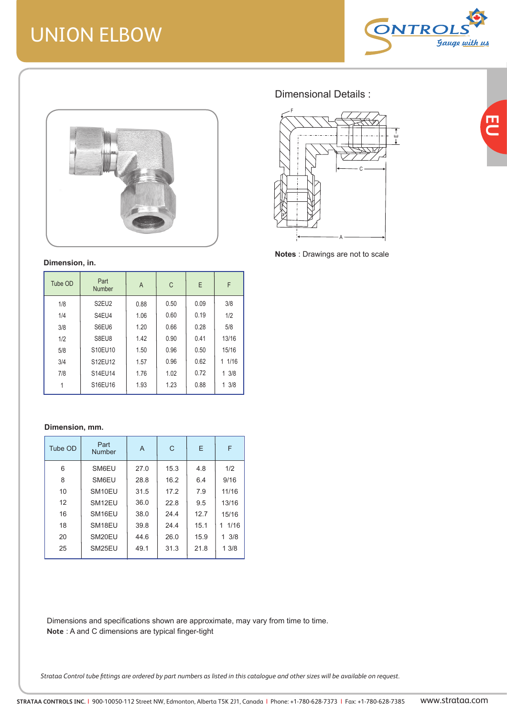# UNION ELBOW



巴<br>C



#### **Dimension, in.**

| Tube OD | Part<br>Number                 | A    | C    | E    | F     |
|---------|--------------------------------|------|------|------|-------|
| 1/8     | S <sub>2</sub> EU <sub>2</sub> | 0.88 | 0.50 | 0.09 | 3/8   |
| 1/4     | S4EU4                          | 1.06 | 0.60 | 0.19 | 1/2   |
| 3/8     | S6EU6                          | 1.20 | 0.66 | 0.28 | 5/8   |
| 1/2     | S8EU8                          | 1.42 | 0.90 | 0.41 | 13/16 |
| 5/8     | S10EU10                        | 1.50 | 0.96 | 0.50 | 15/16 |
| 3/4     | S12EU12                        | 1.57 | 0.96 | 0.62 | 11/16 |
| 7/8     | S14EU14                        | 1.76 | 1.02 | 0.72 | 13/8  |
|         | S16EU16                        | 1.93 | 1.23 | 0.88 | 13/8  |

#### **Dimension, mm.**

| Tube OD | Part<br><b>Number</b> | A    | C    | Е    | F         |
|---------|-----------------------|------|------|------|-----------|
| 6       | SM6EU                 | 27.0 | 15.3 | 4.8  | 1/2       |
| 8       | SM6EU                 | 28.8 | 16.2 | 6.4  | 9/16      |
| 10      | SM <sub>10</sub> EU   | 31.5 | 17.2 | 7.9  | 11/16     |
| 12      | SM <sub>12EU</sub>    | 36.0 | 22.8 | 9.5  | 13/16     |
| 16      | SM <sub>16</sub> EU   | 38.0 | 24.4 | 12.7 | 15/16     |
| 18      | SM <sub>18EU</sub>    | 39.8 | 24.4 | 15.1 | 1/16<br>1 |
| 20      | SM <sub>20</sub> EU   | 44.6 | 26.0 | 15.9 | 3/8<br>1. |
| 25      | SM <sub>25</sub> EU   | 49.1 | 31.3 | 21.8 | 13/8      |

Dimensions and specifications shown are approximate, may vary from time to time. **Note** : A and C dimensions are typical finger-tight

*Strataa Control tube fittings are ordered by part numbers as listed in this catalogue and other sizes will be available on request.*

## Dimensional Details :



**Notes** : Drawings are not to scale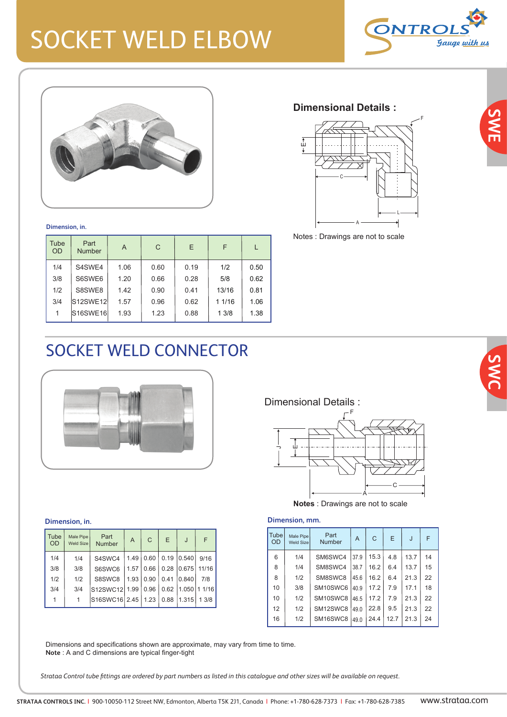# SOCKET WELD ELBOW





**Dimension, in.**

| Tube<br><b>OD</b> | Part<br><b>Number</b> | A    | C    | E    | F      |      |
|-------------------|-----------------------|------|------|------|--------|------|
| 1/4               | S4SWE4                | 1.06 | 0.60 | 0.19 | 1/2    | 0.50 |
| 3/8               | S6SWE6                | 1.20 | 0.66 | 0.28 | 5/8    | 0.62 |
| 1/2               | S8SWE8                | 1.42 | 0.90 | 0.41 | 13/16  | 0.81 |
| 3/4               | S12SWE12              | 1.57 | 0.96 | 0.62 | 1 1/16 | 1.06 |
| 1                 | S16SWE16              | 1.93 | 1.23 | 0.88 | 13/8   | 1.38 |

## **Dimensional Details :**



Notes : Drawings are not to scale

## SOCKET WELD CONNECTOR



#### **Dimension, in.**

| Tube<br><b>OD</b> | Male Pipe<br><b>Weld Size</b> | Part<br><b>Number</b> | A    | C    | E    | J              | F     |
|-------------------|-------------------------------|-----------------------|------|------|------|----------------|-------|
| 1/4               | 1/4                           | S4SWC4                | 1.49 | 0.60 | 0.19 | 0.540          | 9/16  |
| 3/8               | 3/8                           | S6SWC6                | 1.57 | 0.66 | 0.28 | 0.675          | 11/16 |
| 1/2               | 1/2                           | S8SWC8                | 1.93 | 0.90 | 0.41 | 0.840          | 7/8   |
| 3/4               | 3/4                           | S12SWC12 1.99         |      | 0.96 | 0.62 | $1.050$ 1 1/16 |       |
| 1                 | 1                             | S16SWC16 2.45         |      | 1.23 | 0.88 | 1.315          | 1.3/8 |

Dimensional Details :



**Notes** : Drawings are not to scale

## **Dimension, mm.**

| Male Pipe<br>Weld Size | Part<br><b>Number</b> | A    | C    | E    | J.   | F  |
|------------------------|-----------------------|------|------|------|------|----|
| 1/4                    | SM6SWC4               | 37.9 | 15.3 | 4.8  | 13.7 | 14 |
| 1/4                    | SM8SWC4               | 38.7 | 16.2 | 6.4  | 13.7 | 15 |
| 1/2                    | SM8SWC8               | 45.6 | 16.2 | 6.4  | 21.3 | 22 |
| 3/8                    | SM10SWC6              | 40.9 | 17.2 | 7.9  | 17.1 | 18 |
| 1/2                    | SM10SWC8              | 46.5 | 17.2 | 7.9  | 21.3 | 22 |
| 1/2                    | SM12SWC8              | 49.0 | 22.8 | 9.5  | 21.3 | 22 |
| 1/2                    | SM16SWC8              | 490  | 24.4 | 12.7 | 21.3 | 24 |
|                        |                       |      |      |      |      |    |

Dimensions and specifications shown are approximate, may vary from time to time. **Note** : A and C dimensions are typical finger-tight

*Strataa Control tube fittings are ordered by part numbers as listed in this catalogue and other sizes will be available on request.*



**SWE**